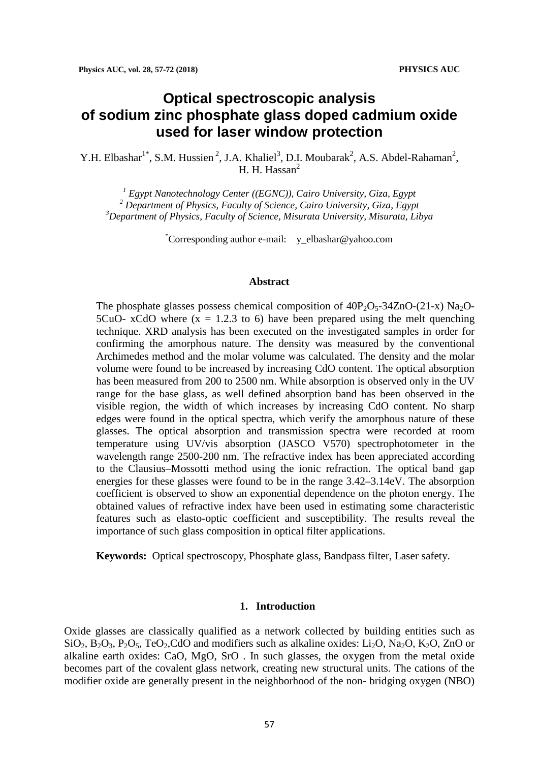# **Optical spectroscopic analysis of sodium zinc phosphate glass doped cadmium oxide used for laser window protection**

Y.H. Elbashar<sup>1\*</sup>, S.M. Hussien<sup>2</sup>, J.A. Khaliel<sup>3</sup>, D.I. Moubarak<sup>2</sup>, A.S. Abdel-Rahaman<sup>2</sup>, H. H. Hassan<sup>2</sup>

*<sup>1</sup> Egypt Nanotechnology Center ((EGNC)), Cairo University, Giza, Egypt <sup>2</sup> Department of Physics, Faculty of Science, Cairo University, Giza, Egypt 3 Department of Physics, Faculty of Science, Misurata University, Misurata, Libya*

\* Corresponding author e-mail: y\_elbashar@yahoo.com

#### **Abstract**

The phosphate glasses possess chemical composition of  $40P_2O<sub>5</sub>-34ZnO-(21-x) Na<sub>2</sub>O-$ 5CuO- xCdO where  $(x = 1.2.3 \text{ to } 6)$  have been prepared using the melt quenching technique. XRD analysis has been executed on the investigated samples in order for confirming the amorphous nature. The density was measured by the conventional Archimedes method and the molar volume was calculated. The density and the molar volume were found to be increased by increasing CdO content. The optical absorption has been measured from 200 to 2500 nm. While absorption is observed only in the UV range for the base glass, as well defined absorption band has been observed in the visible region, the width of which increases by increasing CdO content. No sharp edges were found in the optical spectra, which verify the amorphous nature of these glasses. The optical absorption and transmission spectra were recorded at room temperature using UV/vis absorption (JASCO V570) spectrophotometer in the wavelength range 2500-200 nm. The refractive index has been appreciated according to the Clausius–Mossotti method using the ionic refraction. The optical band gap energies for these glasses were found to be in the range 3.42–3.14eV. The absorption coefficient is observed to show an exponential dependence on the photon energy. The obtained values of refractive index have been used in estimating some characteristic features such as elasto-optic coefficient and susceptibility. The results reveal the importance of such glass composition in optical filter applications.

**Keywords:** Optical spectroscopy, Phosphate glass, Bandpass filter, Laser safety.

## **1. Introduction**

Oxide glasses are classically qualified as a network collected by building entities such as  $\text{SiO}_2$ ,  $\text{B}_2\text{O}_3$ ,  $\text{P}_2\text{O}_5$ ,  $\text{TeO}_2$ , CdO and modifiers such as alkaline oxides: Li<sub>2</sub>O, Na<sub>2</sub>O, K<sub>2</sub>O, ZnO or alkaline earth oxides: CaO, MgO, SrO . In such glasses, the oxygen from the metal oxide becomes part of the covalent glass network, creating new structural units. The cations of the modifier oxide are generally present in the neighborhood of the non- bridging oxygen (NBO)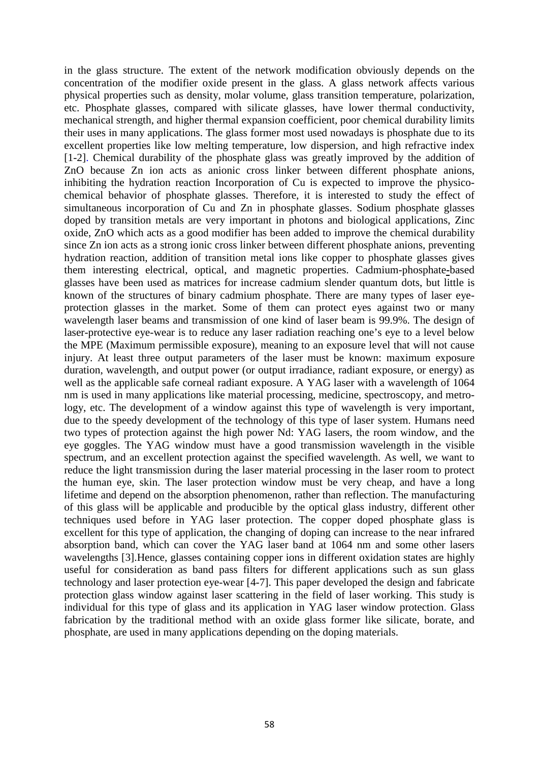in the glass structure. The extent of the network modification obviously depends on the concentration of the modifier oxide present in the glass. A glass network affects various physical properties such as density, molar volume, glass transition temperature, polarization, etc. Phosphate glasses, compared with silicate glasses, have lower thermal conductivity, mechanical strength, and higher thermal expansion coefficient, poor chemical durability limits their uses in many applications. The glass former most used nowadays is phosphate due to its excellent properties like low melting temperature, low dispersion, and high refractive index [1-2]. Chemical durability of the phosphate glass was greatly improved by the addition of ZnO because Zn ion acts as anionic cross linker between different phosphate anions, inhibiting the hydration reaction Incorporation of Cu is expected to improve the physicochemical behavior of phosphate glasses. Therefore, it is interested to study the effect of simultaneous incorporation of Cu and Zn in phosphate glasses. Sodium phosphate glasses doped by transition metals are very important in photons and biological applications, Zinc oxide, ZnO which acts as a good modifier has been added to improve the chemical durability since Zn ion acts as a strong ionic cross linker between different phosphate anions, preventing hydration reaction, addition of transition metal ions like copper to phosphate glasses gives them interesting electrical, optical, and magnetic properties. Cadmium-phosphate**-**based glasses have been used as matrices for increase cadmium slender quantum dots, but little is known of the structures of binary cadmium phosphate. There are many types of laser eyeprotection glasses in the market. Some of them can protect eyes against two or many wavelength laser beams and transmission of one kind of laser beam is 99.9%. The design of laser-protective eye-wear is to reduce any laser radiation reaching one's eye to a level below the MPE (Maximum permissible exposure), meaning to an exposure level that will not cause injury. At least three output parameters of the laser must be known: maximum exposure duration, wavelength, and output power (or output irradiance, radiant exposure, or energy) as well as the applicable safe corneal radiant exposure. A YAG laser with a wavelength of 1064 nm is used in many applications like material processing, medicine, spectroscopy, and metrology, etc. The development of a window against this type of wavelength is very important, due to the speedy development of the technology of this type of laser system. Humans need two types of protection against the high power Nd: YAG lasers, the room window, and the eye goggles. The YAG window must have a good transmission wavelength in the visible spectrum, and an excellent protection against the specified wavelength. As well, we want to reduce the light transmission during the laser material processing in the laser room to protect the human eye, skin. The laser protection window must be very cheap, and have a long lifetime and depend on the absorption phenomenon, rather than reflection. The manufacturing of this glass will be applicable and producible by the optical glass industry, different other techniques used before in YAG laser protection. The copper doped phosphate glass is excellent for this type of application, the changing of doping can increase to the near infrared absorption band, which can cover the YAG laser band at 1064 nm and some other lasers wavelengths [3].Hence, glasses containing copper ions in different oxidation states are highly useful for consideration as band pass filters for different applications such as sun glass technology and laser protection eye-wear [4-7]. This paper developed the design and fabricate protection glass window against laser scattering in the field of laser working. This study is individual for this type of glass and its application in YAG laser window protection. Glass fabrication by the traditional method with an oxide glass former like silicate, borate, and phosphate, are used in many applications depending on the doping materials.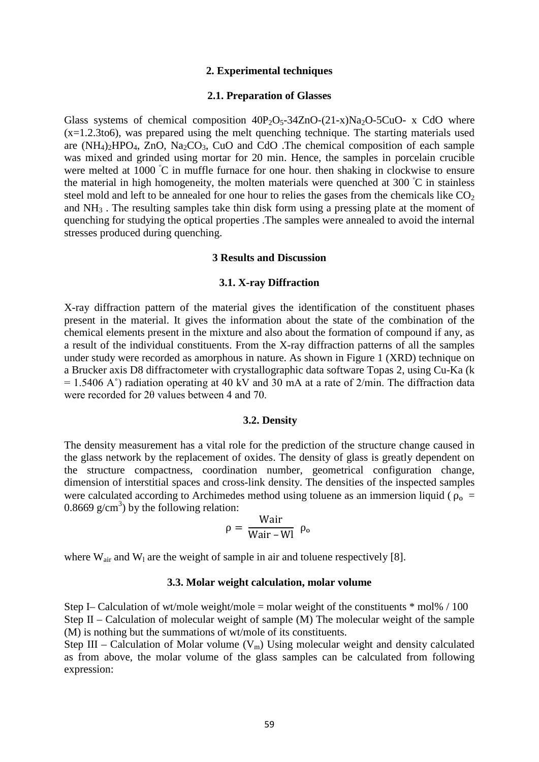## **2. Experimental techniques**

## **2.1. Preparation of Glasses**

Glass systems of chemical composition  $40P_2O_5-34ZnO-(21-x)Na_2O-5CuO-x$  CdO where (x=1.2.3to6), was prepared using the melt quenching technique. The starting materials used are  $(NH_4)_2HPO_4$ , ZnO, Na<sub>2</sub>CO<sub>3</sub>, CuO and CdO . The chemical composition of each sample was mixed and grinded using mortar for 20 min. Hence, the samples in porcelain crucible were melted at 1000 °C in muffle furnace for one hour. then shaking in clockwise to ensure the material in high homogeneity, the molten materials were quenched at 300 °C in stainless steel mold and left to be annealed for one hour to relies the gases from the chemicals like  $CO<sub>2</sub>$ and NH3 . The resulting samples take thin disk form using a pressing plate at the moment of quenching for studying the optical properties .The samples were annealed to avoid the internal stresses produced during quenching.

## **3 Results and Discussion**

## **3.1. X-ray Diffraction**

X-ray diffraction pattern of the material gives the identification of the constituent phases present in the material. It gives the information about the state of the combination of the chemical elements present in the mixture and also about the formation of compound if any, as a result of the individual constituents. From the X-ray diffraction patterns of all the samples under study were recorded as amorphous in nature. As shown in Figure 1 (XRD) technique on a Brucker axis D8 diffractometer with crystallographic data software Topas 2, using Cu-Ka (k  $= 1.5406$  A°) radiation operating at 40 kV and 30 mA at a rate of 2/min. The diffraction data were recorded for 2θ values between 4 and 70.

## **3.2. Density**

The density measurement has a vital role for the prediction of the structure change caused in the glass network by the replacement of oxides. The density of glass is greatly dependent on the structure compactness, coordination number, geometrical configuration change, dimension of interstitial spaces and cross-link density. The densities of the inspected samples were calculated according to Archimedes method using toluene as an immersion liquid ( $\rho_0$  = 0.8669  $g/cm<sup>3</sup>$ ) by the following relation:

$$
\rho = \frac{Wair}{Wair - Wl} \ \rho_o
$$

where  $W_{air}$  and  $W_1$  are the weight of sample in air and toluene respectively [8].

## **3.3. Molar weight calculation, molar volume**

Step I– Calculation of wt/mole weight/mole = molar weight of the constituents  $*$  mol% / 100 Step II – Calculation of molecular weight of sample (M) The molecular weight of the sample (M) is nothing but the summations of wt/mole of its constituents.

Step III – Calculation of Molar volume  $(V_m)$  Using molecular weight and density calculated as from above, the molar volume of the glass samples can be calculated from following expression: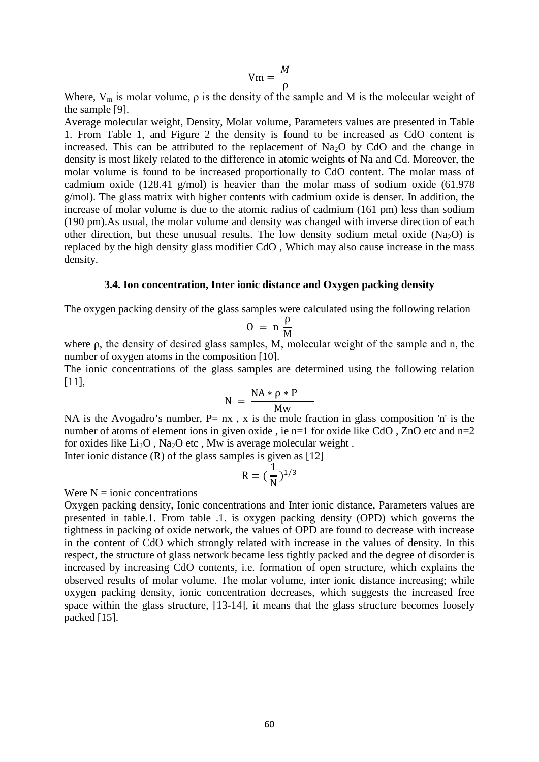$$
Vm = \frac{M}{\rho}
$$

Where,  $V_m$  is molar volume,  $\rho$  is the density of the sample and M is the molecular weight of the sample [9].

Average molecular weight, Density, Molar volume, Parameters values are presented in Table 1. From Table 1, and Figure 2 the density is found to be increased as CdO content is increased. This can be attributed to the replacement of  $Na<sub>2</sub>O$  by CdO and the change in density is most likely related to the difference in atomic weights of Na and Cd. Moreover, the molar volume is found to be increased proportionally to CdO content. The molar mass of cadmium oxide (128.41 g/mol) is heavier than the molar mass of sodium oxide (61.978 g/mol). The glass matrix with higher contents with cadmium oxide is denser. In addition, the increase of molar volume is due to the atomic radius of cadmium (161 pm) less than sodium (190 pm).As usual, the molar volume and density was changed with inverse direction of each other direction, but these unusual results. The low density sodium metal oxide (Na<sub>2</sub>O) is replaced by the high density glass modifier CdO , Which may also cause increase in the mass density.

## **3.4. Ion concentration, Inter ionic distance and Oxygen packing density**

The oxygen packing density of the glass samples were calculated using the following relation

$$
0 = n \frac{\rho}{M}
$$

where ρ, the density of desired glass samples, M, molecular weight of the sample and n, the number of oxygen atoms in the composition [10].

The ionic concentrations of the glass samples are determined using the following relation [11],

$$
N = \frac{NA * \rho * P}{MW}
$$

NA is the Avogadro's number,  $P= nx$ , x is the mole fraction in glass composition 'n' is the number of atoms of element ions in given oxide, ie n=1 for oxide like  $CdO$ . ZnO etc and n=2 for oxides like  $Li_2O$ , Na<sub>2</sub>O etc, Mw is average molecular weight. Inter ionic distance  $(R)$  of the glass samples is given as  $[12]$ 

$$
R = (\frac{1}{N})^{1/3}
$$

Were  $N = 1$  ionic concentrations

Oxygen packing density, Ionic concentrations and Inter ionic distance, Parameters values are presented in table.1. From table .1. is oxygen packing density (OPD) which governs the tightness in packing of oxide network, the values of OPD are found to decrease with increase in the content of CdO which strongly related with increase in the values of density. In this respect, the structure of glass network became less tightly packed and the degree of disorder is increased by increasing CdO contents, i.e. formation of open structure, which explains the observed results of molar volume. The molar volume, inter ionic distance increasing; while oxygen packing density, ionic concentration decreases, which suggests the increased free space within the glass structure, [13-14], it means that the glass structure becomes loosely packed [15].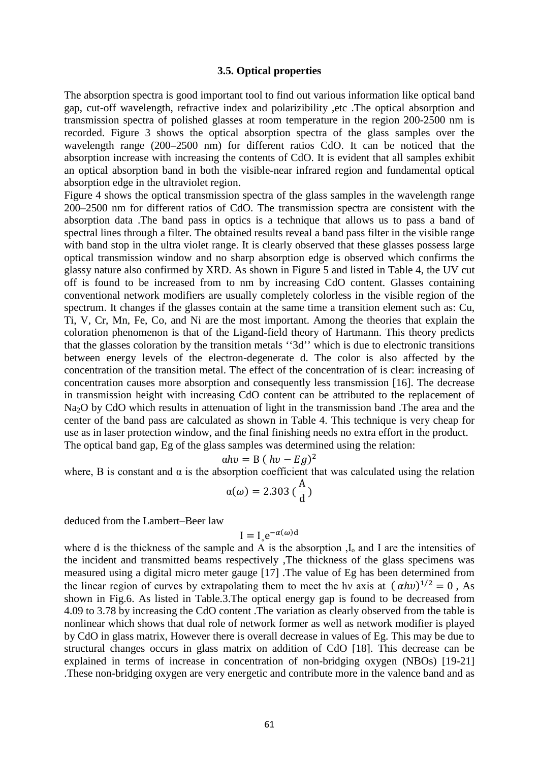## **3.5. Optical properties**

The absorption spectra is good important tool to find out various information like optical band gap, cut-off wavelength, refractive index and polarizibility ,etc .The optical absorption and transmission spectra of polished glasses at room temperature in the region 200-2500 nm is recorded. Figure 3 shows the optical absorption spectra of the glass samples over the wavelength range (200–2500 nm) for different ratios CdO. It can be noticed that the absorption increase with increasing the contents of CdO. It is evident that all samples exhibit an optical absorption band in both the visible-near infrared region and fundamental optical absorption edge in the ultraviolet region.

Figure 4 shows the optical transmission spectra of the glass samples in the wavelength range 200–2500 nm for different ratios of CdO. The transmission spectra are consistent with the absorption data .The band pass in optics is a technique that allows us to pass a band of spectral lines through a filter. The obtained results reveal a band pass filter in the visible range with band stop in the ultra violet range. It is clearly observed that these glasses possess large optical transmission window and no sharp absorption edge is observed which confirms the glassy nature also confirmed by XRD. As shown in Figure 5 and listed in Table 4, the UV cut off is found to be increased from to nm by increasing CdO content. Glasses containing conventional network modifiers are usually completely colorless in the visible region of the spectrum. It changes if the glasses contain at the same time a transition element such as: Cu, Ti, V, Cr, Mn, Fe, Co, and Ni are the most important. Among the theories that explain the coloration phenomenon is that of the Ligand-field theory of Hartmann. This theory predicts that the glasses coloration by the transition metals ''3d'' which is due to electronic transitions between energy levels of the electron-degenerate d. The color is also affected by the concentration of the transition metal. The effect of the concentration of is clear: increasing of concentration causes more absorption and consequently less transmission [16]. The decrease in transmission height with increasing CdO content can be attributed to the replacement of Na<sub>2</sub>O by CdO which results in attenuation of light in the transmission band. The area and the center of the band pass are calculated as shown in Table 4. This technique is very cheap for use as in laser protection window, and the final finishing needs no extra effort in the product. The optical band gap, Eg of the glass samples was determined using the relation:

$$
\alpha hv = B (hv - Eg)^2
$$

where, B is constant and  $\alpha$  is the absorption coefficient that was calculated using the relation

$$
\alpha(\omega) = 2.303 \left(\frac{A}{d}\right)
$$

deduced from the Lambert–Beer law

$$
I = I_{\circ} e^{-\alpha(\omega)d}
$$

where d is the thickness of the sample and A is the absorption  $I_0$  and I are the intensities of the incident and transmitted beams respectively ,The thickness of the glass specimens was measured using a digital micro meter gauge [17] .The value of Eg has been determined from the linear region of curves by extrapolating them to meet the hy axis at  $(\alpha h v)^{1/2} = 0$ , As shown in Fig.6. As listed in Table.3.The optical energy gap is found to be decreased from 4.09 to 3.78 by increasing the CdO content .The variation as clearly observed from the table is nonlinear which shows that dual role of network former as well as network modifier is played by CdO in glass matrix, However there is overall decrease in values of Eg. This may be due to structural changes occurs in glass matrix on addition of CdO [18]. This decrease can be explained in terms of increase in concentration of non-bridging oxygen (NBOs) [19-21] .These non-bridging oxygen are very energetic and contribute more in the valence band and as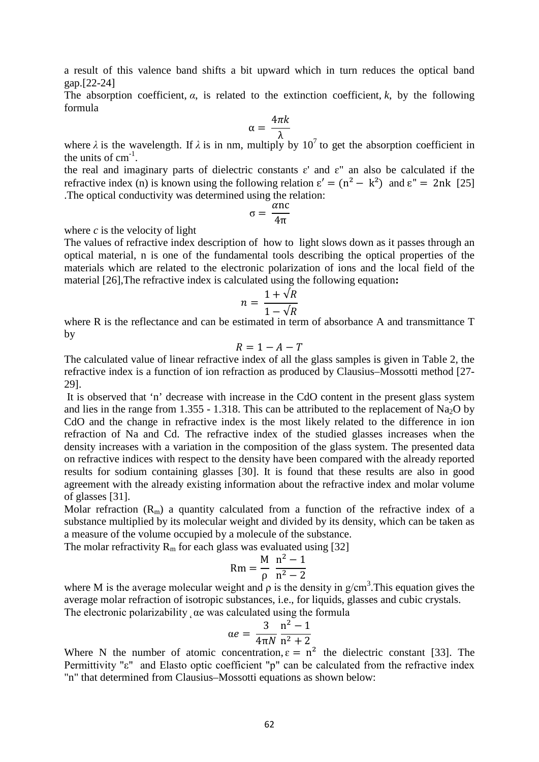a result of this valence band shifts a bit upward which in turn reduces the optical band gap.[22-24]

The absorption coefficient,  $\alpha$ , is related to the extinction coefficient,  $k$ , by the following formula

$$
\alpha = \frac{4\pi k}{\lambda}
$$

where  $\lambda$  is the wavelength. If  $\lambda$  is in nm, multiply by 10<sup>7</sup> to get the absorption coefficient in the units of  $cm^{-1}$ .

the real and imaginary parts of dielectric constants  $\varepsilon'$  and  $\varepsilon''$  an also be calculated if the refractive index (n) is known using the following relation  $\varepsilon' = (n^2 - k^2)$  and  $\varepsilon'' = 2nk$  [25] .The optical conductivity was determined using the relation:

$$
\sigma = \frac{\alpha n c}{4\pi}
$$

where  $c$  is the velocity of light

The values of refractive index description of how to light slows down as it passes through an optical material, n is one of the fundamental tools describing the optical properties of the materials which are related to the electronic polarization of ions and the local field of the material [26],The refractive index is calculated using the following equation**:**

$$
n = \frac{1 + \sqrt{R}}{1 - \sqrt{R}}
$$

where R is the reflectance and can be estimated in term of absorbance A and transmittance T by

$$
R=1-A-T
$$

The calculated value of linear refractive index of all the glass samples is given in Table 2, the refractive index is a function of ion refraction as produced by Clausius–Mossotti method [27- 29].

It is observed that 'n' decrease with increase in the CdO content in the present glass system and lies in the range from 1.355 - 1.318. This can be attributed to the replacement of Na<sub>2</sub>O by CdO and the change in refractive index is the most likely related to the difference in ion refraction of Na and Cd. The refractive index of the studied glasses increases when the density increases with a variation in the composition of the glass system. The presented data on refractive indices with respect to the density have been compared with the already reported results for sodium containing glasses [30]. It is found that these results are also in good agreement with the already existing information about the refractive index and molar volume of glasses [31].

Molar refraction  $(R_m)$  a quantity calculated from a function of the refractive index of a substance multiplied by its molecular weight and divided by its density, which can be taken as a measure of the volume occupied by a molecule of the substance.

The molar refractivity  $R_m$  for each glass was evaluated using [32]

$$
Rm = \frac{M}{\rho} \frac{n^2 - 1}{n^2 - 2}
$$

where M is the average molecular weight and  $\rho$  is the density in  $g/cm^3$ . This equation gives the average molar refraction of isotropic substances, *i.e.*, for liquids, glasses and cubic crystals. The electronic polarizability  $\alpha$ e was calculated using the formula

$$
\alpha e = \frac{3}{4\pi N} \frac{n^2 - 1}{n^2 + 2}
$$

Where N the number of atomic concentration,  $\varepsilon = n^2$  the dielectric constant [33]. The Permittivity "ε" and Elasto optic coefficient "p" can be calculated from the refractive index "n" that determined from Clausius–Mossotti equations as shown below: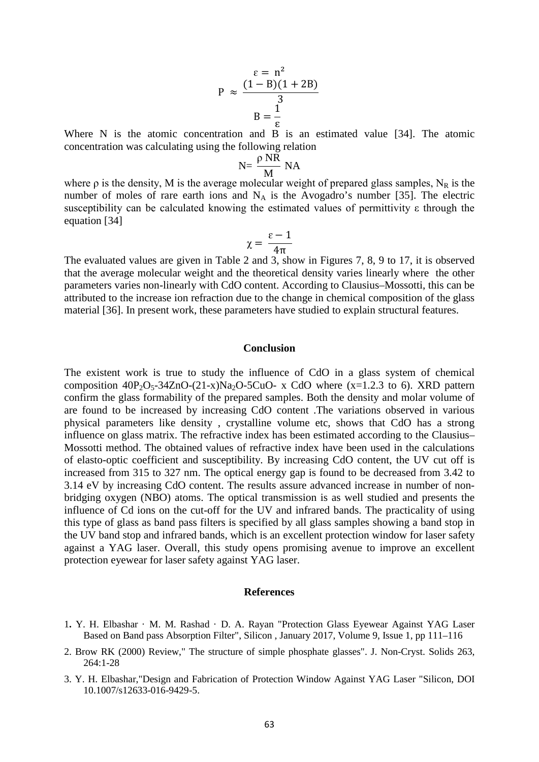$$
P \approx \frac{(1 - B)(1 + 2B)}{3}
$$

$$
B = \frac{1}{\varepsilon}
$$

Where N is the atomic concentration and B is an estimated value [34]. The atomic concentration was calculating using the following relation

$$
N = \frac{\rho NR}{M} NA
$$

where  $\rho$  is the density, M is the average molecular weight of prepared glass samples, N<sub>R</sub> is the number of moles of rare earth ions and  $N_A$  is the Avogadro's number [35]. The electric susceptibility can be calculated knowing the estimated values of permittivity ε through the equation [34]

$$
\chi = \frac{\varepsilon - 1}{4\pi}
$$

The evaluated values are given in Table 2 and 3, show in Figures 7, 8, 9 to 17, it is observed that the average molecular weight and the theoretical density varies linearly where the other parameters varies non-linearly with CdO content. According to Clausius–Mossotti, this can be attributed to the increase ion refraction due to the change in chemical composition of the glass material [36]. In present work, these parameters have studied to explain structural features.

## **Conclusion**

The existent work is true to study the influence of CdO in a glass system of chemical composition  $40P_2O_5-34ZnO-(21-x)Na_2O-5CuO- x CdO$  where  $(x=1.2.3 \text{ to } 6)$ . XRD pattern confirm the glass formability of the prepared samples. Both the density and molar volume of are found to be increased by increasing CdO content .The variations observed in various physical parameters like density , crystalline volume etc, shows that CdO has a strong influence on glass matrix. The refractive index has been estimated according to the Clausius– Mossotti method. The obtained values of refractive index have been used in the calculations of elasto-optic coefficient and susceptibility. By increasing CdO content, the UV cut off is increased from 315 to 327 nm. The optical energy gap is found to be decreased from 3.42 to 3.14 eV by increasing CdO content. The results assure advanced increase in number of nonbridging oxygen (NBO) atoms. The optical transmission is as well studied and presents the influence of Cd ions on the cut-off for the UV and infrared bands. The practicality of using this type of glass as band pass filters is specified by all glass samples showing a band stop in the UV band stop and infrared bands, which is an excellent protection window for laser safety against a YAG laser. Overall, this study opens promising avenue to improve an excellent protection eyewear for laser safety against YAG laser.

#### **References**

- 1**.** Y. H. Elbashar · M. M. Rashad · D. A. Rayan "Protection Glass Eyewear Against YAG Laser Based on Band pass Absorption Filter", Silicon , January 2017, Volume 9, Issue 1, pp 111–116
- 2. Brow RK (2000) Review," The structure of simple phosphate glasses". J. Non-Cryst. Solids 263, 264:1-28
- 3. Y. H. Elbashar,"Design and Fabrication of Protection Window Against YAG Laser "Silicon, DOI 10.1007/s12633-016-9429-5.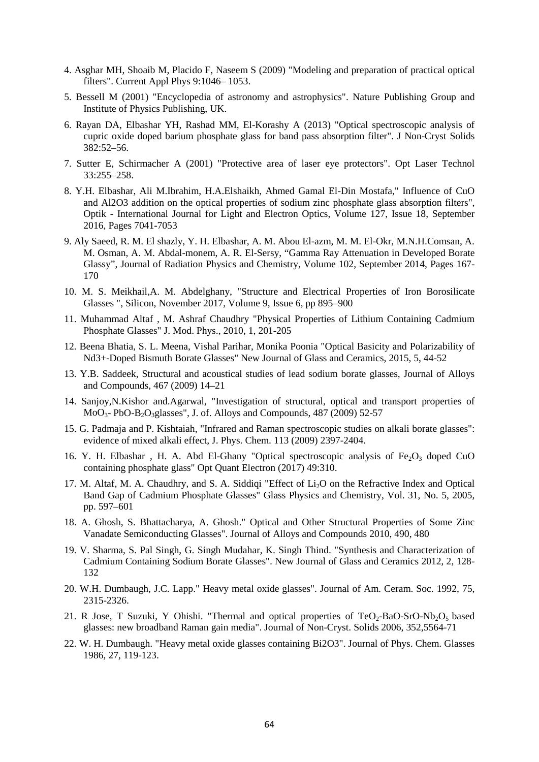- 4. Asghar MH, Shoaib M, Placido F, Naseem S (2009) "Modeling and preparation of practical optical filters". Current Appl Phys 9:1046– 1053.
- 5. Bessell M (2001) "Encyclopedia of astronomy and astrophysics". Nature Publishing Group and Institute of Physics Publishing, UK.
- 6. Rayan DA, Elbashar YH, Rashad MM, El-Korashy A (2013) "Optical spectroscopic analysis of cupric oxide doped barium phosphate glass for band pass absorption filter". J Non-Cryst Solids 382:52–56.
- 7. Sutter E, Schirmacher A (2001) "Protective area of laser eye protectors". Opt Laser Technol 33:255–258.
- 8. Y.H. Elbashar, Ali M.Ibrahim, H.A.Elshaikh, Ahmed Gamal El-Din Mostafa," Influence of CuO and Al2O3 addition on the optical properties of sodium zinc phosphate glass absorption filters", Optik - International Journal for Light and Electron Optics, Volume 127, Issue 18, September 2016, Pages 7041-7053
- 9. Aly Saeed, R. M. El shazly, Y. H. Elbashar, A. M. Abou El-azm, M. M. El-Okr, M.N.H.Comsan, A. M. Osman, A. M. Abdal-monem, A. R. El-Sersy, "Gamma Ray Attenuation in Developed Borate Glassy", Journal of Radiation Physics and Chemistry, Volume 102, September 2014, Pages 167- 170
- 10. M. S. Meikhail,A. M. Abdelghany, "Structure and Electrical Properties of Iron Borosilicate Glasses ", Silicon, November 2017, Volume 9, Issue 6, pp 895–900
- 11. Muhammad Altaf , M. Ashraf Chaudhry "Physical Properties of Lithium Containing Cadmium Phosphate Glasses" J. Mod. Phys., 2010, 1, 201-205
- 12. Beena Bhatia, S. L. Meena, Vishal Parihar, Monika Poonia "Optical Basicity and Polarizability of Nd3+-Doped Bismuth Borate Glasses" New Journal of Glass and Ceramics, 2015, 5, 44-52
- 13. Y.B. Saddeek, Structural and acoustical studies of lead sodium borate glasses, Journal of Alloys and Compounds, 467 (2009) 14–21
- 14. Sanjoy,N.Kishor and.Agarwal, "Investigation of structural, optical and transport properties of  $MoO<sub>3</sub>$ - PbO-B<sub>2</sub>O<sub>3</sub>glasses", J. of. Alloys and Compounds, 487 (2009) 52-57
- 15. G. Padmaja and P. Kishtaiah, "Infrared and Raman spectroscopic studies on alkali borate glasses": evidence of mixed alkali effect, J. Phys. Chem. 113 (2009) 2397-2404.
- 16. Y. H. Elbashar, H. A. Abd El-Ghany "Optical spectroscopic analysis of  $Fe<sub>2</sub>O<sub>3</sub>$  doped CuO containing phosphate glass" Opt Quant Electron (2017) 49:310.
- 17. M. Altaf, M. A. Chaudhry, and S. A. Siddiqi "Effect of Li<sub>2</sub>O on the Refractive Index and Optical Band Gap of Cadmium Phosphate Glasses" Glass Physics and Chemistry, Vol. 31, No. 5, 2005, pp. 597–601
- 18. A. Ghosh, S. Bhattacharya, A. Ghosh." Optical and Other Structural Properties of Some Zinc Vanadate Semiconducting Glasses". Journal of Alloys and Compounds 2010, 490, 480
- 19. V. Sharma, S. Pal Singh, G. Singh Mudahar, K. Singh Thind. "Synthesis and Characterization of Cadmium Containing Sodium Borate Glasses". New Journal of Glass and Ceramics 2012, 2, 128- 132
- 20. W.H. Dumbaugh, J.C. Lapp." Heavy metal oxide glasses". Journal of Am. Ceram. Soc. 1992, 75, 2315-2326.
- 21. R Jose, T Suzuki, Y Ohishi. "Thermal and optical properties of  $TeO<sub>2</sub>-BaO-SrO-Nb<sub>2</sub>O<sub>5</sub>$  based glasses: new broadband Raman gain media". Journal of Non-Cryst. Solids 2006, 352,5564-71
- 22. W. H. Dumbaugh. "Heavy metal oxide glasses containing Bi2O3". Journal of Phys. Chem. Glasses 1986, 27, 119-123.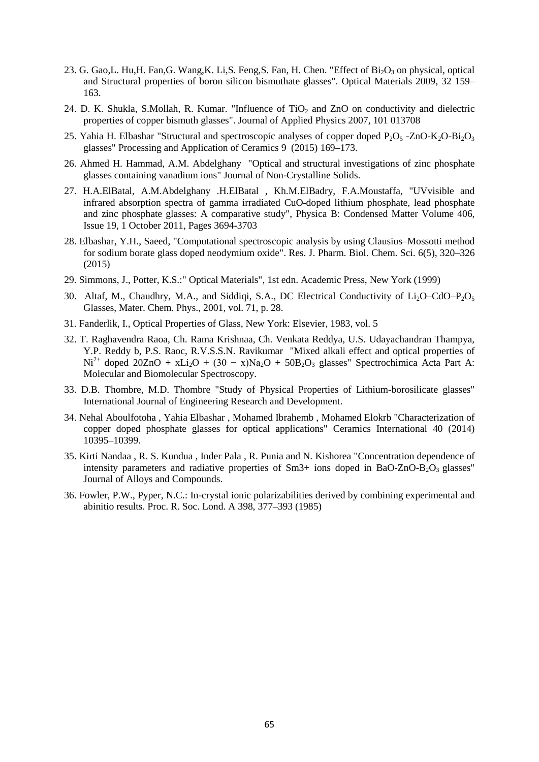- 23. G. Gao, L. Hu, H. Fan, G. Wang, K. Li, S. Feng, S. Fan, H. Chen. "Effect of Bi<sub>2</sub>O<sub>3</sub> on physical, optical and Structural properties of boron silicon bismuthate glasses". Optical Materials 2009, 32 159– 163.
- 24. D. K. Shukla, S.Mollah, R. Kumar. "Influence of TiO<sub>2</sub> and ZnO on conductivity and dielectric properties of copper bismuth glasses". Journal of Applied Physics 2007, 101 013708
- 25. Yahia H. Elbashar "Structural and spectroscopic analyses of copper doped  $P_2O_5$ -ZnO-K<sub>2</sub>O-Bi<sub>2</sub>O<sub>3</sub> glasses" Processing and Application of Ceramics 9 (2015) 169–173.
- 26. Ahmed H. Hammad, A.M. Abdelghany "Optical and structural investigations of zinc phosphate glasses containing vanadium ions" Journal of Non-Crystalline Solids.
- 27. H.A.ElBatal, A.M.Abdelghany .H.ElBatal , Kh.M.ElBadry, F.A.Moustaffa, "UVvisible and infrared absorption spectra of gamma irradiated CuO-doped lithium phosphate, lead phosphate and zinc phosphate glasses: A comparative study", Physica B: Condensed Matter Volume 406, Issue 19, 1 October 2011, Pages 3694-3703
- 28. Elbashar, Y.H., Saeed, "Computational spectroscopic analysis by using Clausius–Mossotti method for sodium borate glass doped neodymium oxide". Res. J. Pharm. Biol. Chem. Sci. 6(5), 320–326 (2015)
- 29. Simmons, J., Potter, K.S.:" Optical Materials", 1st edn. Academic Press, New York (1999)
- 30. Altaf, M., Chaudhry, M.A., and Siddiqi, S.A., DC Electrical Conductivity of  $Li_2O-CdO-P_2O_5$ Glasses, Mater. Chem. Phys., 2001, vol. 71, p. 28.
- 31. Fanderlik, I., Optical Properties of Glass, New York: Elsevier, 1983, vol. 5
- 32. T. Raghavendra Raoa, Ch. Rama Krishnaa, Ch. Venkata Reddya, U.S. Udayachandran Thampya, Y.P. Reddy b, P.S. Raoc, R.V.S.S.N. Ravikumar "Mixed alkali effect and optical properties of Ni<sup>2+</sup> doped 20ZnO + xLi<sub>2</sub>O + (30 - x)Na<sub>2</sub>O + 50B<sub>2</sub>O<sub>3</sub> glasses" Spectrochimica Acta Part A: Molecular and Biomolecular Spectroscopy.
- 33. D.B. Thombre, M.D. Thombre "Study of Physical Properties of Lithium-borosilicate glasses" International Journal of Engineering Research and Development.
- 34. Nehal Aboulfotoha , Yahia Elbashar , Mohamed Ibrahemb , Mohamed Elokrb "Characterization of copper doped phosphate glasses for optical applications" Ceramics International 40 (2014) 10395–10399.
- 35. Kirti Nandaa , R. S. Kundua , Inder Pala , R. Punia and N. Kishorea "Concentration dependence of intensity parameters and radiative properties of  $Sm3+$  ions doped in BaO-ZnO-B<sub>2</sub>O<sub>3</sub> glasses" Journal of Alloys and Compounds.
- 36. Fowler, P.W., Pyper, N.C.: In-crystal ionic polarizabilities derived by combining experimental and abinitio results. Proc. R. Soc. Lond. A 398, 377–393 (1985)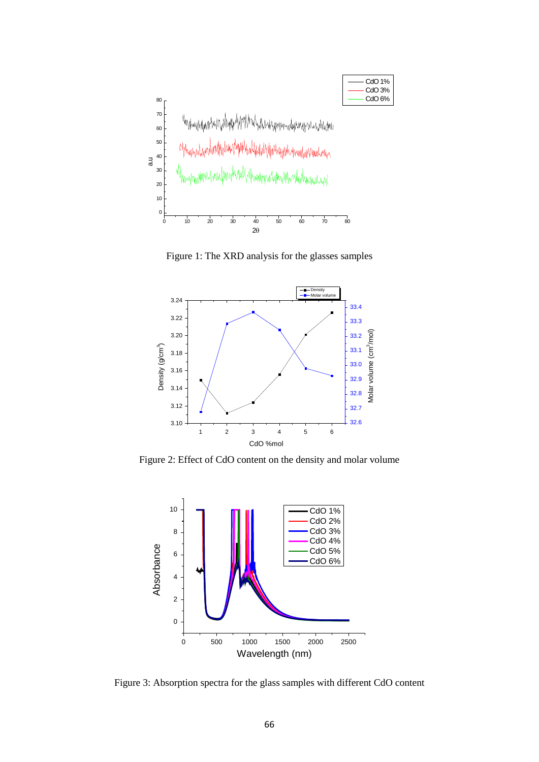

Figure 1: The XRD analysis for the glasses samples



Figure 2: Effect of CdO content on the density and molar volume



Figure 3: Absorption spectra for the glass samples with different CdO content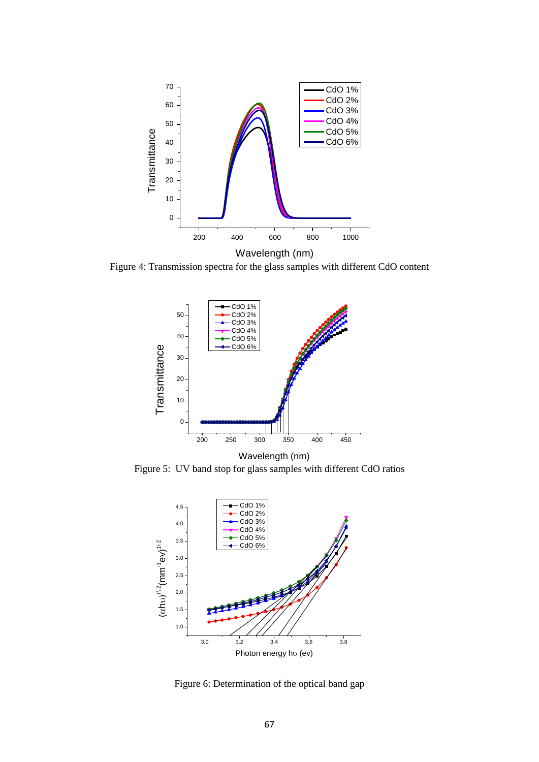

Figure 4: Transmission spectra for the glass samples with different CdO content



Wavelength (nm) Figure 5: UV band stop for glass samples with different CdO ratios



Figure 6: Determination of the optical band gap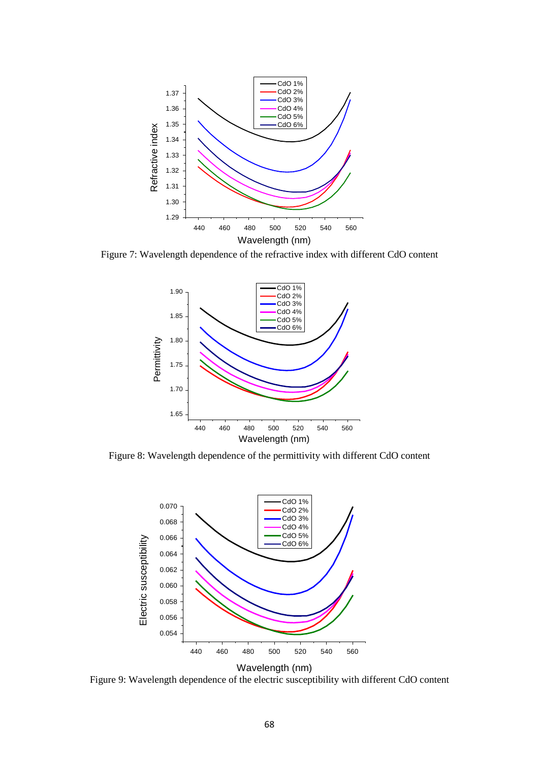

Figure 7: Wavelength dependence of the refractive index with different CdO content



Figure 8: Wavelength dependence of the permittivity with different CdO content



Figure 9: Wavelength dependence of the electric susceptibility with different CdO content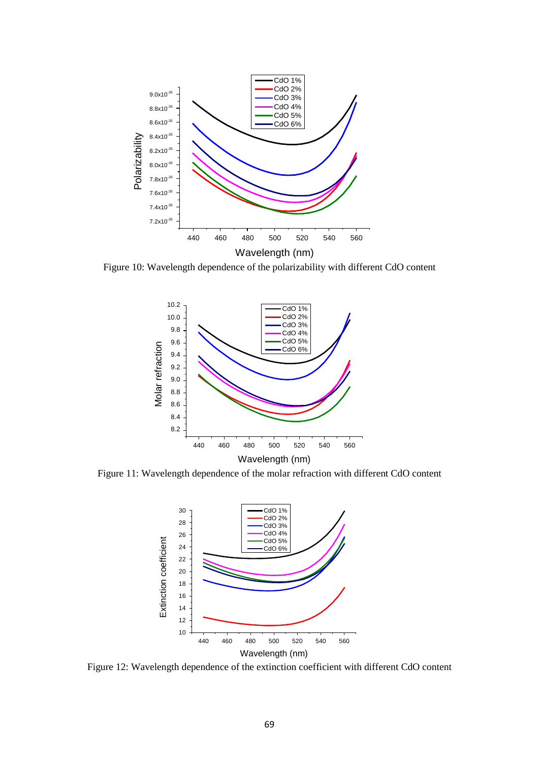

Figure 10: Wavelength dependence of the polarizability with different CdO content



Figure 11: Wavelength dependence of the molar refraction with different CdO content



Figure 12: Wavelength dependence of the extinction coefficient with different CdO content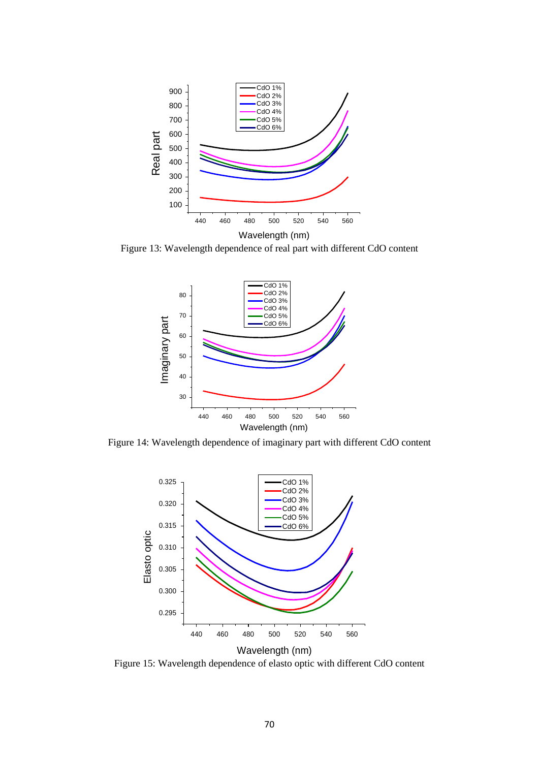

Figure 13: Wavelength dependence of real part with different CdO content



Figure 14: Wavelength dependence of imaginary part with different CdO content



Figure 15: Wavelength dependence of elasto optic with different CdO content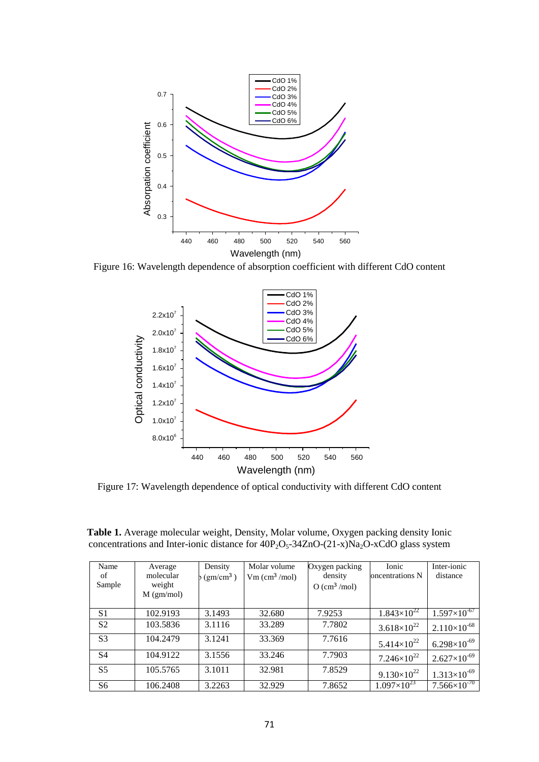

Figure 16: Wavelength dependence of absorption coefficient with different CdO content



Figure 17: Wavelength dependence of optical conductivity with different CdO content

| Name<br>of<br>Sample | Average<br>molecular<br>weight<br>$M$ (gm/mol) | Density<br>$(gm/cm^3)$ | Molar volume<br>$Vm$ (cm <sup>3</sup> /mol) | Oxygen packing<br>density<br>$O$ (cm <sup>3</sup> /mol) | <b>Ionic</b><br>oncentrations N | Inter-ionic<br>distance |
|----------------------|------------------------------------------------|------------------------|---------------------------------------------|---------------------------------------------------------|---------------------------------|-------------------------|
| S <sub>1</sub>       | 102.9193                                       | 3.1493                 | 32.680                                      | 7.9253                                                  | $1.843\times10^{22}$            | $1.597\times10^{-67}$   |
| S <sub>2</sub>       | 103.5836                                       | 3.1116                 | 33.289                                      | 7.7802                                                  | $3.618\times10^{22}$            | $2.110\times10^{-68}$   |
| S <sub>3</sub>       | 104.2479                                       | 3.1241                 | 33.369                                      | 7.7616                                                  | $5.414\times10^{22}$            | $6.298\times10^{-69}$   |
| <b>S4</b>            | 104.9122                                       | 3.1556                 | 33.246                                      | 7.7903                                                  | $7.246\times10^{22}$            | $2.627\times10^{-69}$   |
| S <sub>5</sub>       | 105.5765                                       | 3.1011                 | 32.981                                      | 7.8529                                                  | $9.130\times10^{22}$            | $1.313\times10^{-69}$   |
| S6                   | 106.2408                                       | 3.2263                 | 32.929                                      | 7.8652                                                  | $1.097\times10^{23}$            | $7.566\times10^{-70}$   |

**Table 1.** Average molecular weight, Density, Molar volume, Oxygen packing density Ionic concentrations and Inter-ionic distance for  $40P_2O_5-34ZnO-(21-x)Na_2O-xCdO$  glass system